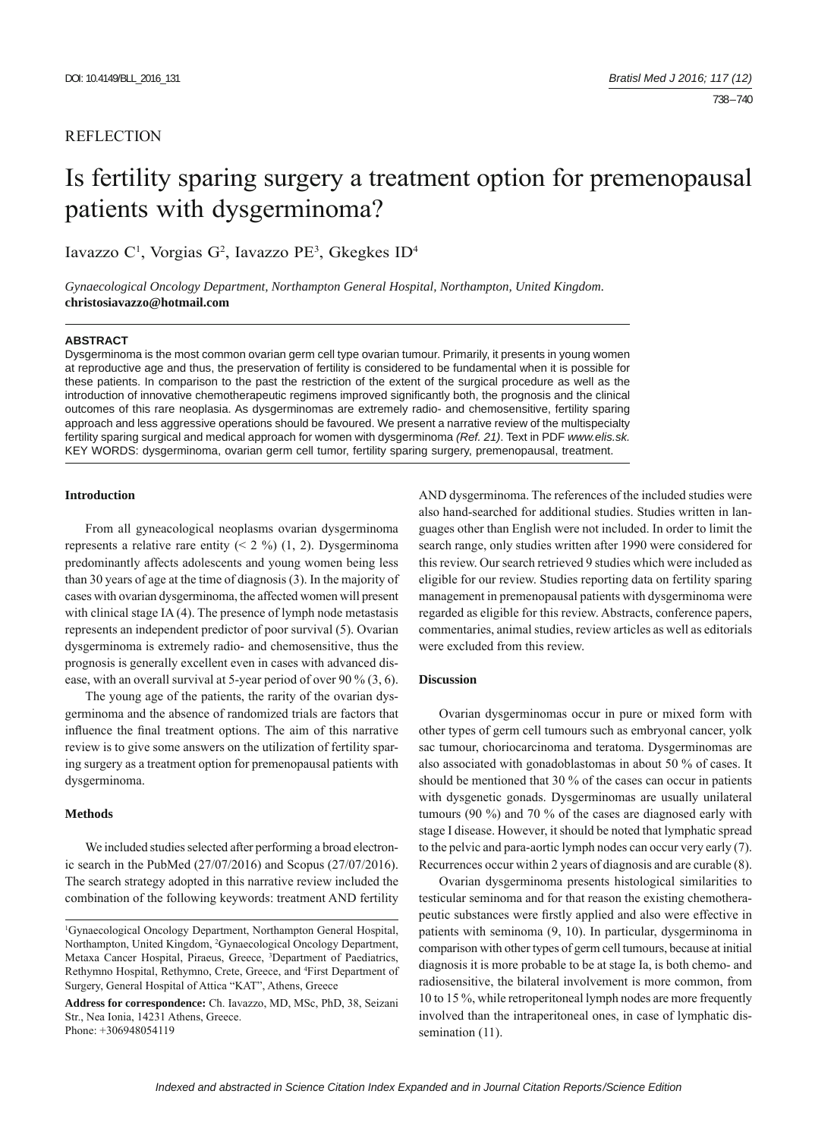# **REFLECTION**

# Is fertility sparing surgery a treatment option for premenopausal patients with dysgerminoma?

Iavazzo C<sup>1</sup>, Vorgias G<sup>2</sup>, Iavazzo PE<sup>3</sup>, Gkegkes ID<sup>4</sup>

*Gynaecological Oncology Department, Northampton General Hospital, Northampton, United Kingdom.*  **christosiavazzo@hotmail.com**

#### **ABSTRACT**

Dysgerminoma is the most common ovarian germ cell type ovarian tumour. Primarily, it presents in young women at reproductive age and thus, the preservation of fertility is considered to be fundamental when it is possible for these patients. In comparison to the past the restriction of the extent of the surgical procedure as well as the introduction of innovative chemotherapeutic regimens improved significantly both, the prognosis and the clinical outcomes of this rare neoplasia. As dysgerminomas are extremely radio- and chemosensitive, fertility sparing approach and less aggressive operations should be favoured. We present a narrative review of the multispecialty fertility sparing surgical and medical approach for women with dysgerminoma *(Ref. 21)*. Text in PDF *www.elis.sk.* KEY WORDS: dysgerminoma, ovarian germ cell tumor, fertility sparing surgery, premenopausal, treatment.

## **Introduction**

From all gyneacological neoplasms ovarian dysgerminoma represents a relative rare entity  $(2, 2\%)$  (1, 2). Dysgerminoma predominantly affects adolescents and young women being less than 30 years of age at the time of diagnosis (3). In the majority of cases with ovarian dysgerminoma, the affected women will present with clinical stage IA (4). The presence of lymph node metastasis represents an independent predictor of poor survival (5). Ovarian dysgerminoma is extremely radio- and chemosensitive, thus the prognosis is generally excellent even in cases with advanced disease, with an overall survival at 5-year period of over 90 % (3, 6).

The young age of the patients, the rarity of the ovarian dysgerminoma and the absence of randomized trials are factors that influence the final treatment options. The aim of this narrative review is to give some answers on the utilization of fertility sparing surgery as a treatment option for premenopausal patients with dysgerminoma.

# **Methods**

We included studies selected after performing a broad electronic search in the PubMed (27/07/2016) and Scopus (27/07/2016). The search strategy adopted in this narrative review included the combination of the following keywords: treatment AND fertility AND dysgerminoma. The references of the included studies were also hand-searched for additional studies. Studies written in languages other than English were not included. In order to limit the search range, only studies written after 1990 were considered for this review. Our search retrieved 9 studies which were included as eligible for our review. Studies reporting data on fertility sparing management in premenopausal patients with dysgerminoma were regarded as eligible for this review. Abstracts, conference papers, commentaries, animal studies, review articles as well as editorials were excluded from this review.

## **Discussion**

Ovarian dysgerminomas occur in pure or mixed form with other types of germ cell tumours such as embryonal cancer, yolk sac tumour, choriocarcinoma and teratoma. Dysgerminomas are also associated with gonadoblastomas in about 50 % of cases. It should be mentioned that 30 % of the cases can occur in patients with dysgenetic gonads. Dysgerminomas are usually unilateral tumours (90 %) and 70 % of the cases are diagnosed early with stage I disease. However, it should be noted that lymphatic spread to the pelvic and para-aortic lymph nodes can occur very early (7). Recurrences occur within 2 years of diagnosis and are curable (8).

Ovarian dysgerminoma presents histological similarities to testicular seminoma and for that reason the existing chemotherapeutic substances were firstly applied and also were effective in patients with seminoma (9, 10). In particular, dysgerminoma in comparison with other types of germ cell tumours, because at initial diagnosis it is more probable to be at stage Ia, is both chemo- and radiosensitive, the bilateral involvement is more common, from 10 to 15 %, while retroperitoneal lymph nodes are more frequently involved than the intraperitoneal ones, in case of lymphatic dissemination (11).

<sup>1</sup> Gynaecological Oncology Department, Northampton General Hospital, Northampton, United Kingdom, 2 Gynaecological Oncology Department, Metaxa Cancer Hospital, Piraeus, Greece, <sup>3</sup>Department of Paediatrics, Rethymno Hospital, Rethymno, Crete, Greece, and 4 First Department of Surgery, General Hospital of Attica "KAT", Athens, Greece

**Address for correspondence:** Ch. Iavazzo, MD, MSc, PhD, 38, Seizani Str., Nea Ionia, 14231 Athens, Greece. Phone: +306948054119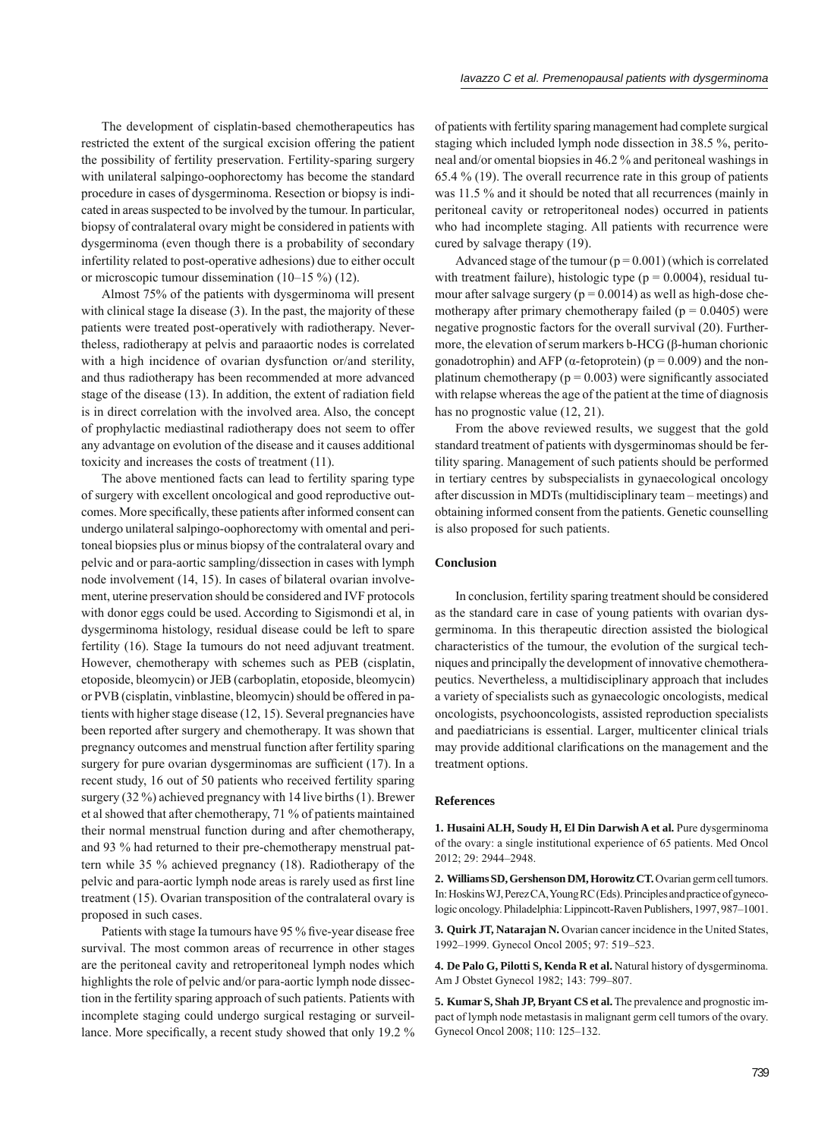The development of cisplatin-based chemotherapeutics has restricted the extent of the surgical excision offering the patient the possibility of fertility preservation. Fertility-sparing surgery with unilateral salpingo-oophorectomy has become the standard procedure in cases of dysgerminoma. Resection or biopsy is indicated in areas suspected to be involved by the tumour. In particular, biopsy of contralateral ovary might be considered in patients with dysgerminoma (even though there is a probability of secondary infertility related to post-operative adhesions) due to either occult or microscopic tumour dissemination (10–15 %) (12).

Almost 75% of the patients with dysgerminoma will present with clinical stage Ia disease (3). In the past, the majority of these patients were treated post-operatively with radiotherapy. Nevertheless, radiotherapy at pelvis and paraaortic nodes is correlated with a high incidence of ovarian dysfunction or/and sterility, and thus radiotherapy has been recommended at more advanced stage of the disease (13). In addition, the extent of radiation field is in direct correlation with the involved area. Also, the concept of prophylactic mediastinal radiotherapy does not seem to offer any advantage on evolution of the disease and it causes additional toxicity and increases the costs of treatment (11).

The above mentioned facts can lead to fertility sparing type of surgery with excellent oncological and good reproductive outcomes. More specifically, these patients after informed consent can undergo unilateral salpingo-oophorectomy with omental and peritoneal biopsies plus or minus biopsy of the contralateral ovary and pelvic and or para-aortic sampling/dissection in cases with lymph node involvement (14, 15). In cases of bilateral ovarian involvement, uterine preservation should be considered and IVF protocols with donor eggs could be used. According to Sigismondi et al, in dysgerminoma histology, residual disease could be left to spare fertility (16). Stage Ia tumours do not need adjuvant treatment. However, chemotherapy with schemes such as PEB (cisplatin, etoposide, bleomycin) or JEB (carboplatin, etoposide, bleomycin) or PVB (cisplatin, vinblastine, bleomycin) should be offered in patients with higher stage disease (12, 15). Several pregnancies have been reported after surgery and chemotherapy. It was shown that pregnancy outcomes and menstrual function after fertility sparing surgery for pure ovarian dysgerminomas are sufficient (17). In a recent study, 16 out of 50 patients who received fertility sparing surgery (32 %) achieved pregnancy with 14 live births (1). Brewer et al showed that after chemotherapy, 71 % of patients maintained their normal menstrual function during and after chemotherapy, and 93 % had returned to their pre-chemotherapy menstrual pattern while 35 % achieved pregnancy (18). Radiotherapy of the pelvic and para-aortic lymph node areas is rarely used as first line treatment (15). Ovarian transposition of the contralateral ovary is proposed in such cases.

Patients with stage Ia tumours have 95 % five-year disease free survival. The most common areas of recurrence in other stages are the peritoneal cavity and retroperitoneal lymph nodes which highlights the role of pelvic and/or para-aortic lymph node dissection in the fertility sparing approach of such patients. Patients with incomplete staging could undergo surgical restaging or surveillance. More specifically, a recent study showed that only 19.2 %

of patients with fertility sparing management had complete surgical staging which included lymph node dissection in 38.5 %, peritoneal and/or omental biopsies in 46.2 % and peritoneal washings in 65.4 % (19). The overall recurrence rate in this group of patients was 11.5 % and it should be noted that all recurrences (mainly in peritoneal cavity or retroperitoneal nodes) occurred in patients who had incomplete staging. All patients with recurrence were cured by salvage therapy (19).

Advanced stage of the tumour  $(p = 0.001)$  (which is correlated with treatment failure), histologic type ( $p = 0.0004$ ), residual tumour after salvage surgery ( $p = 0.0014$ ) as well as high-dose chemotherapy after primary chemotherapy failed ( $p = 0.0405$ ) were negative prognostic factors for the overall survival (20). Furthermore, the elevation of serum markers b-HCG (β-human chorionic gonadotrophin) and AFP ( $\alpha$ -fetoprotein) ( $p = 0.009$ ) and the nonplatinum chemotherapy ( $p = 0.003$ ) were significantly associated with relapse whereas the age of the patient at the time of diagnosis has no prognostic value (12, 21).

From the above reviewed results, we suggest that the gold standard treatment of patients with dysgerminomas should be fertility sparing. Management of such patients should be performed in tertiary centres by subspecialists in gynaecological oncology after discussion in MDTs (multidisciplinary team – meetings) and obtaining informed consent from the patients. Genetic counselling is also proposed for such patients.

### **Conclusion**

In conclusion, fertility sparing treatment should be considered as the standard care in case of young patients with ovarian dysgerminoma. In this therapeutic direction assisted the biological characteristics of the tumour, the evolution of the surgical techniques and principally the development of innovative chemotherapeutics. Nevertheless, a multidisciplinary approach that includes a variety of specialists such as gynaecologic oncologists, medical oncologists, psychooncologists, assisted reproduction specialists and paediatricians is essential. Larger, multicenter clinical trials may provide additional clarifications on the management and the treatment options.

#### **References**

**1. Husaini ALH, Soudy H, El Din Darwish A et al.** Pure dysgerminoma of the ovary: a single institutional experience of 65 patients. Med Oncol 2012; 29: 2944–2948.

**2. Williams SD, Gershenson DM, Horowitz CT.** Ovarian germ cell tumors. In: Hoskins WJ, Perez CA, Young RC (Eds). Principles and practice of gynecologic oncology. Philadelphia: Lippincott-Raven Publishers, 1997, 987–1001.

**3. Quirk JT, Natarajan N.** Ovarian cancer incidence in the United States, 1992–1999. Gynecol Oncol 2005; 97: 519–523.

**4. De Palo G, Pilotti S, Kenda R et al.** Natural history of dysgerminoma. Am J Obstet Gynecol 1982; 143: 799–807.

**5. Kumar S, Shah JP, Bryant CS et al.** The prevalence and prognostic impact of lymph node metastasis in malignant germ cell tumors of the ovary. Gynecol Oncol 2008; 110: 125–132.